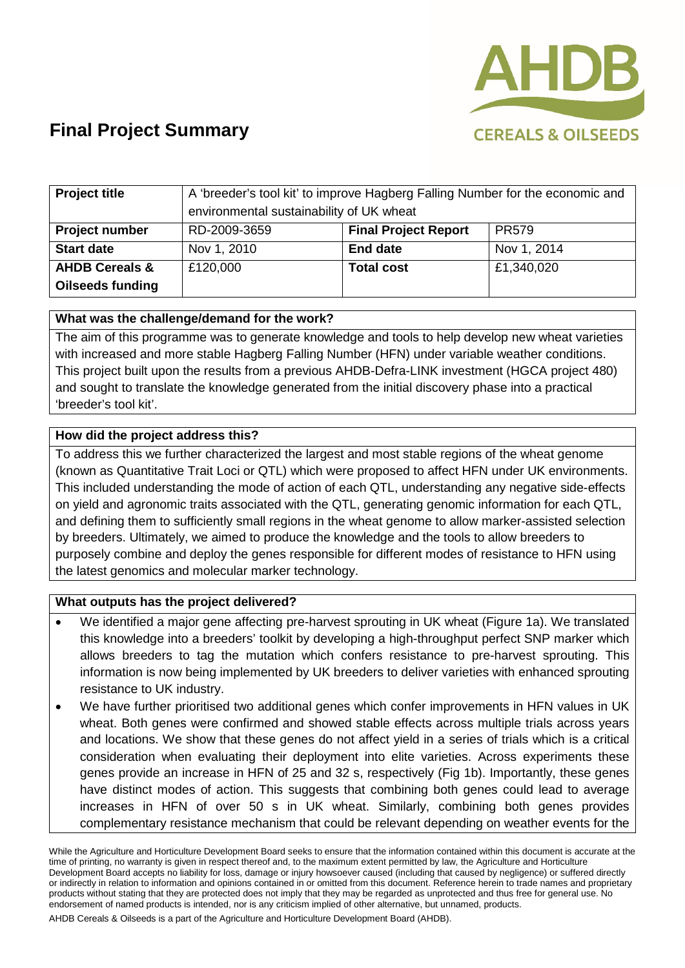

| <b>Project title</b>      | A 'breeder's tool kit' to improve Hagberg Falling Number for the economic and |                             |              |
|---------------------------|-------------------------------------------------------------------------------|-----------------------------|--------------|
|                           | environmental sustainability of UK wheat                                      |                             |              |
| <b>Project number</b>     | RD-2009-3659                                                                  | <b>Final Project Report</b> | <b>PR579</b> |
| <b>Start date</b>         | Nov 1, 2010                                                                   | <b>End date</b>             | Nov 1, 2014  |
| <b>AHDB Cereals &amp;</b> | £120,000                                                                      | <b>Total cost</b>           | £1,340,020   |
| <b>Oilseeds funding</b>   |                                                                               |                             |              |

#### **What was the challenge/demand for the work?**

The aim of this programme was to generate knowledge and tools to help develop new wheat varieties with increased and more stable Hagberg Falling Number (HFN) under variable weather conditions. This project built upon the results from a previous AHDB-Defra-LINK investment (HGCA project 480) and sought to translate the knowledge generated from the initial discovery phase into a practical 'breeder's tool kit'.

#### **How did the project address this?**

To address this we further characterized the largest and most stable regions of the wheat genome (known as Quantitative Trait Loci or QTL) which were proposed to affect HFN under UK environments. This included understanding the mode of action of each QTL, understanding any negative side-effects on yield and agronomic traits associated with the QTL, generating genomic information for each QTL, and defining them to sufficiently small regions in the wheat genome to allow marker-assisted selection by breeders. Ultimately, we aimed to produce the knowledge and the tools to allow breeders to purposely combine and deploy the genes responsible for different modes of resistance to HFN using the latest genomics and molecular marker technology.

#### **What outputs has the project delivered?**

- We identified a major gene affecting pre-harvest sprouting in UK wheat (Figure 1a). We translated this knowledge into a breeders' toolkit by developing a high-throughput perfect SNP marker which allows breeders to tag the mutation which confers resistance to pre-harvest sprouting. This information is now being implemented by UK breeders to deliver varieties with enhanced sprouting resistance to UK industry.
- We have further prioritised two additional genes which confer improvements in HFN values in UK wheat. Both genes were confirmed and showed stable effects across multiple trials across years and locations. We show that these genes do not affect yield in a series of trials which is a critical consideration when evaluating their deployment into elite varieties. Across experiments these genes provide an increase in HFN of 25 and 32 s, respectively (Fig 1b). Importantly, these genes have distinct modes of action. This suggests that combining both genes could lead to average increases in HFN of over 50 s in UK wheat. Similarly, combining both genes provides complementary resistance mechanism that could be relevant depending on weather events for the

While the Agriculture and Horticulture Development Board seeks to ensure that the information contained within this document is accurate at the time of printing, no warranty is given in respect thereof and, to the maximum extent permitted by law, the Agriculture and Horticulture Development Board accepts no liability for loss, damage or injury howsoever caused (including that caused by negligence) or suffered directly or indirectly in relation to information and opinions contained in or omitted from this document. Reference herein to trade names and proprietary products without stating that they are protected does not imply that they may be regarded as unprotected and thus free for general use. No endorsement of named products is intended, nor is any criticism implied of other alternative, but unnamed, products.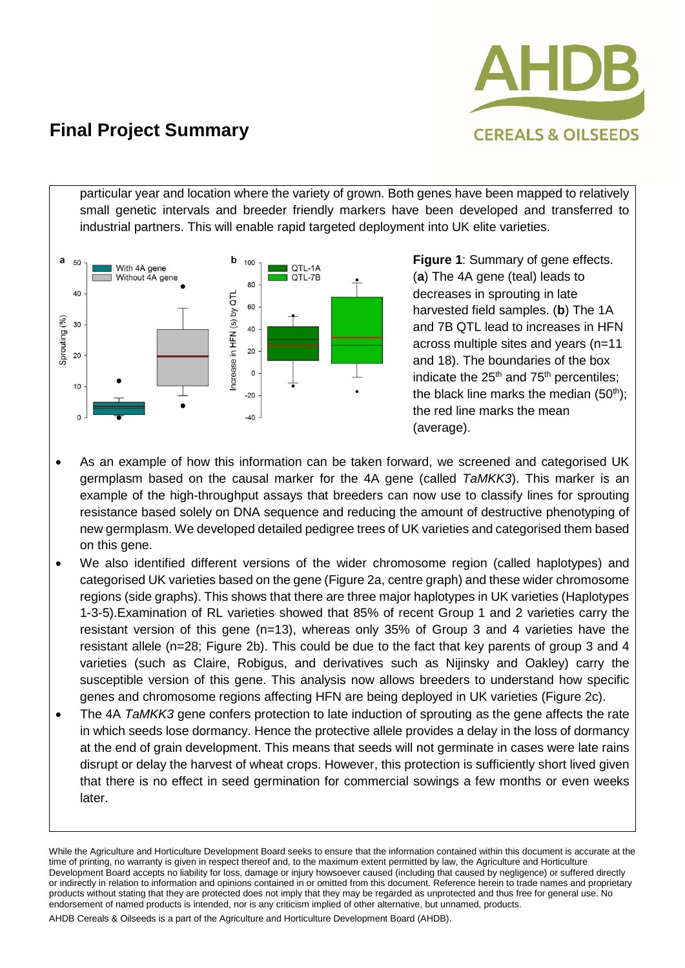

particular year and location where the variety of grown. Both genes have been mapped to relatively small genetic intervals and breeder friendly markers have been developed and transferred to industrial partners. This will enable rapid targeted deployment into UK elite varieties.



**Figure 1**: Summary of gene effects. (**a**) The 4A gene (teal) leads to decreases in sprouting in late harvested field samples. (**b**) The 1A and 7B QTL lead to increases in HFN across multiple sites and years (n=11 and 18). The boundaries of the box indicate the  $25<sup>th</sup>$  and  $75<sup>th</sup>$  percentiles; the black line marks the median  $(50<sup>th</sup>)$ ; the red line marks the mean (average).

- As an example of how this information can be taken forward, we screened and categorised UK germplasm based on the causal marker for the 4A gene (called *TaMKK3*). This marker is an example of the high-throughput assays that breeders can now use to classify lines for sprouting resistance based solely on DNA sequence and reducing the amount of destructive phenotyping of new germplasm. We developed detailed pedigree trees of UK varieties and categorised them based on this gene.
- We also identified different versions of the wider chromosome region (called haplotypes) and categorised UK varieties based on the gene (Figure 2a, centre graph) and these wider chromosome regions (side graphs). This shows that there are three major haplotypes in UK varieties (Haplotypes 1-3-5).Examination of RL varieties showed that 85% of recent Group 1 and 2 varieties carry the resistant version of this gene (n=13), whereas only 35% of Group 3 and 4 varieties have the resistant allele (n=28; Figure 2b). This could be due to the fact that key parents of group 3 and 4 varieties (such as Claire, Robigus, and derivatives such as Nijinsky and Oakley) carry the susceptible version of this gene. This analysis now allows breeders to understand how specific genes and chromosome regions affecting HFN are being deployed in UK varieties (Figure 2c).
- The 4A *TaMKK3* gene confers protection to late induction of sprouting as the gene affects the rate in which seeds lose dormancy. Hence the protective allele provides a delay in the loss of dormancy at the end of grain development. This means that seeds will not germinate in cases were late rains disrupt or delay the harvest of wheat crops. However, this protection is sufficiently short lived given that there is no effect in seed germination for commercial sowings a few months or even weeks later.

While the Agriculture and Horticulture Development Board seeks to ensure that the information contained within this document is accurate at the time of printing, no warranty is given in respect thereof and, to the maximum extent permitted by law, the Agriculture and Horticulture Development Board accepts no liability for loss, damage or injury howsoever caused (including that caused by negligence) or suffered directly or indirectly in relation to information and opinions contained in or omitted from this document. Reference herein to trade names and proprietary products without stating that they are protected does not imply that they may be regarded as unprotected and thus free for general use. No endorsement of named products is intended, nor is any criticism implied of other alternative, but unnamed, products.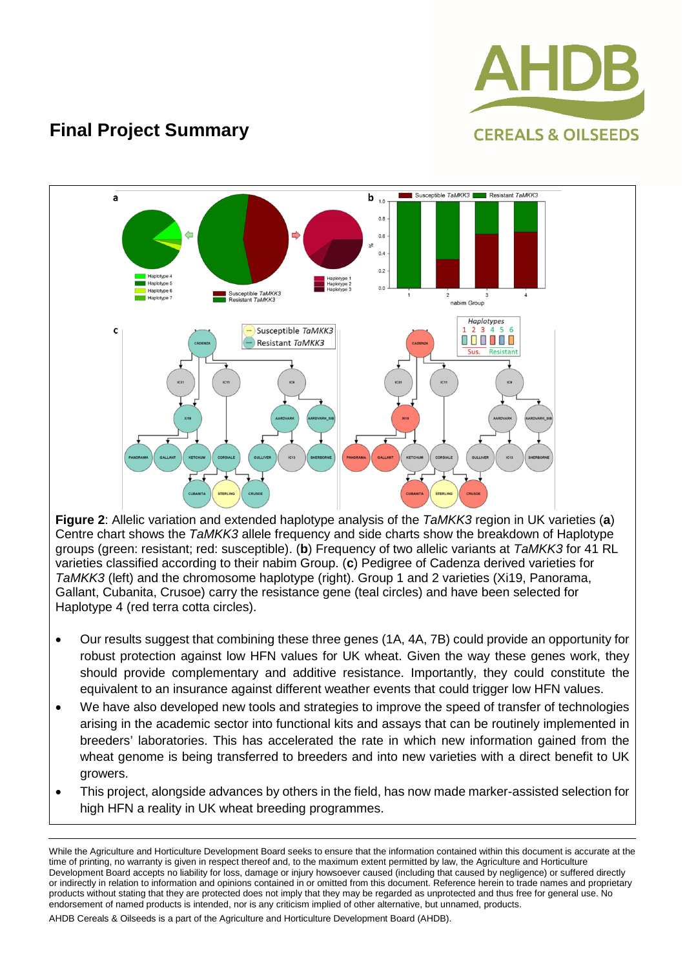



**Figure 2**: Allelic variation and extended haplotype analysis of the *TaMKK3* region in UK varieties (**a**) Centre chart shows the *TaMKK3* allele frequency and side charts show the breakdown of Haplotype groups (green: resistant; red: susceptible). (**b**) Frequency of two allelic variants at *TaMKK3* for 41 RL varieties classified according to their nabim Group. (**c**) Pedigree of Cadenza derived varieties for *TaMKK3* (left) and the chromosome haplotype (right). Group 1 and 2 varieties (Xi19, Panorama, Gallant, Cubanita, Crusoe) carry the resistance gene (teal circles) and have been selected for Haplotype 4 (red terra cotta circles).

- Our results suggest that combining these three genes (1A, 4A, 7B) could provide an opportunity for robust protection against low HFN values for UK wheat. Given the way these genes work, they should provide complementary and additive resistance. Importantly, they could constitute the equivalent to an insurance against different weather events that could trigger low HFN values.
- We have also developed new tools and strategies to improve the speed of transfer of technologies arising in the academic sector into functional kits and assays that can be routinely implemented in breeders' laboratories. This has accelerated the rate in which new information gained from the wheat genome is being transferred to breeders and into new varieties with a direct benefit to UK growers.
- This project, alongside advances by others in the field, has now made marker-assisted selection for high HFN a reality in UK wheat breeding programmes.

While the Agriculture and Horticulture Development Board seeks to ensure that the information contained within this document is accurate at the time of printing, no warranty is given in respect thereof and, to the maximum extent permitted by law, the Agriculture and Horticulture Development Board accepts no liability for loss, damage or injury howsoever caused (including that caused by negligence) or suffered directly or indirectly in relation to information and opinions contained in or omitted from this document. Reference herein to trade names and proprietary products without stating that they are protected does not imply that they may be regarded as unprotected and thus free for general use. No endorsement of named products is intended, nor is any criticism implied of other alternative, but unnamed, products.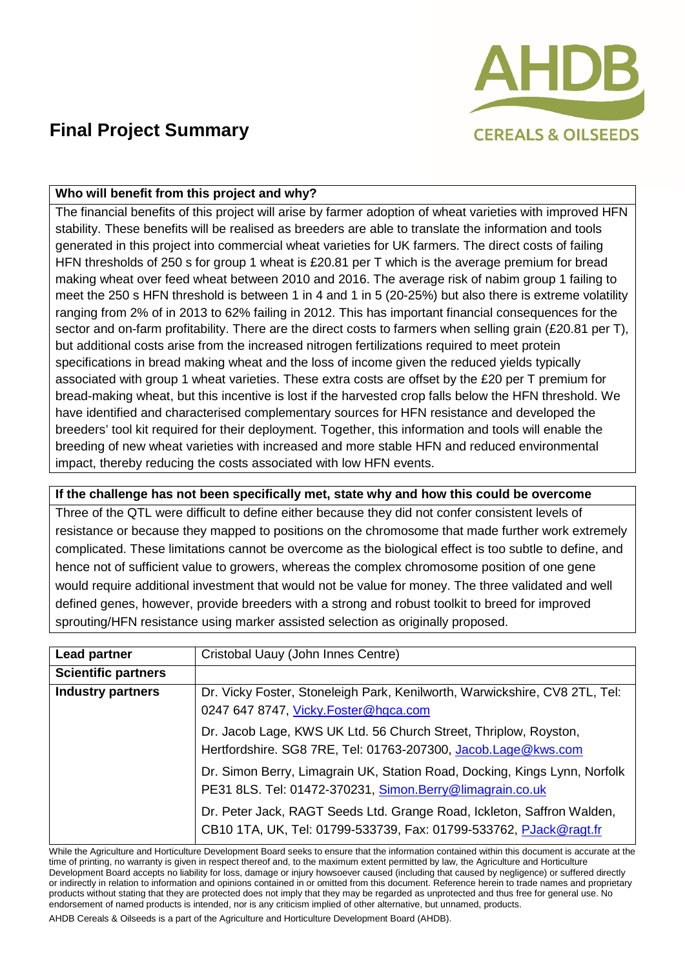

#### **Who will benefit from this project and why?**

The financial benefits of this project will arise by farmer adoption of wheat varieties with improved HFN stability. These benefits will be realised as breeders are able to translate the information and tools generated in this project into commercial wheat varieties for UK farmers. The direct costs of failing HFN thresholds of 250 s for group 1 wheat is £20.81 per T which is the average premium for bread making wheat over feed wheat between 2010 and 2016. The average risk of nabim group 1 failing to meet the 250 s HFN threshold is between 1 in 4 and 1 in 5 (20-25%) but also there is extreme volatility ranging from 2% of in 2013 to 62% failing in 2012. This has important financial consequences for the sector and on-farm profitability. There are the direct costs to farmers when selling grain (£20.81 per T), but additional costs arise from the increased nitrogen fertilizations required to meet protein specifications in bread making wheat and the loss of income given the reduced yields typically associated with group 1 wheat varieties. These extra costs are offset by the £20 per T premium for bread-making wheat, but this incentive is lost if the harvested crop falls below the HFN threshold. We have identified and characterised complementary sources for HFN resistance and developed the breeders' tool kit required for their deployment. Together, this information and tools will enable the breeding of new wheat varieties with increased and more stable HFN and reduced environmental impact, thereby reducing the costs associated with low HFN events.

#### **If the challenge has not been specifically met, state why and how this could be overcome**

Three of the QTL were difficult to define either because they did not confer consistent levels of resistance or because they mapped to positions on the chromosome that made further work extremely complicated. These limitations cannot be overcome as the biological effect is too subtle to define, and hence not of sufficient value to growers, whereas the complex chromosome position of one gene would require additional investment that would not be value for money. The three validated and well defined genes, however, provide breeders with a strong and robust toolkit to breed for improved sprouting/HFN resistance using marker assisted selection as originally proposed.

| Lead partner               | Cristobal Uauy (John Innes Centre)                                                                                                          |  |
|----------------------------|---------------------------------------------------------------------------------------------------------------------------------------------|--|
| <b>Scientific partners</b> |                                                                                                                                             |  |
| <b>Industry partners</b>   | Dr. Vicky Foster, Stoneleigh Park, Kenilworth, Warwickshire, CV8 2TL, Tel:                                                                  |  |
|                            | 0247 647 8747, Vicky. Foster@hgca.com                                                                                                       |  |
|                            | Dr. Jacob Lage, KWS UK Ltd. 56 Church Street, Thriplow, Royston,                                                                            |  |
|                            | Hertfordshire. SG8 7RE, Tel: 01763-207300, Jacob.Lage@kws.com                                                                               |  |
|                            | Dr. Simon Berry, Limagrain UK, Station Road, Docking, Kings Lynn, Norfolk                                                                   |  |
|                            | PE31 8LS. Tel: 01472-370231, Simon.Berry@limagrain.co.uk                                                                                    |  |
|                            | Dr. Peter Jack, RAGT Seeds Ltd. Grange Road, Ickleton, Saffron Walden,<br>CB10 1TA, UK, Tel: 01799-533739, Fax: 01799-533762, PJack@ragt.fr |  |

While the Agriculture and Horticulture Development Board seeks to ensure that the information contained within this document is accurate at the time of printing, no warranty is given in respect thereof and, to the maximum extent permitted by law, the Agriculture and Horticulture Development Board accepts no liability for loss, damage or injury howsoever caused (including that caused by negligence) or suffered directly or indirectly in relation to information and opinions contained in or omitted from this document. Reference herein to trade names and proprietary products without stating that they are protected does not imply that they may be regarded as unprotected and thus free for general use. No endorsement of named products is intended, nor is any criticism implied of other alternative, but unnamed, products.